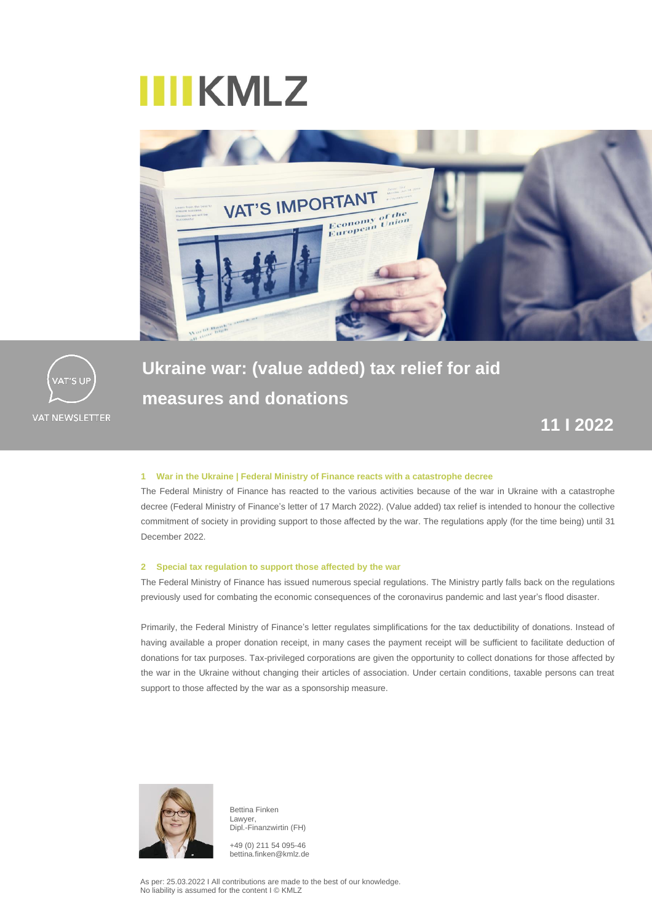# **IIIIKMLZ**





**Ukraine war: (value added) tax relief for aid measures and donations**

### **11 I 2022**

### **1 War in the Ukraine | Federal Ministry of Finance reacts with a catastrophe decree**

The Federal Ministry of Finance has reacted to the various activities because of the war in Ukraine with a catastrophe decree (Federal Ministry of Finance's letter of 17 March 2022). (Value added) tax relief is intended to honour the collective commitment of society in providing support to those affected by the war. The regulations apply (for the time being) until 31 December 2022.

### **2 Special tax regulation to support those affected by the war**

The Federal Ministry of Finance has issued numerous special regulations. The Ministry partly falls back on the regulations previously used for combating the economic consequences of the coronavirus pandemic and last year's flood disaster.

Primarily, the Federal Ministry of Finance's letter regulates simplifications for the tax deductibility of donations. Instead of having available a proper donation receipt, in many cases the payment receipt will be sufficient to facilitate deduction of donations for tax purposes. Tax-privileged corporations are given the opportunity to collect donations for those affected by the war in the Ukraine without changing their articles of association. Under certain conditions, taxable persons can treat support to those affected by the war as a sponsorship measure.



Bettina Finken Lawyer, Dipl.-Finanzwirtin (FH)

+49 (0) 211 54 095-46 bettina.finken@kmlz.de

As per: 25.03.2022 I All contributions are made to the best of our knowledge. No liability is assumed for the content I © KMLZ